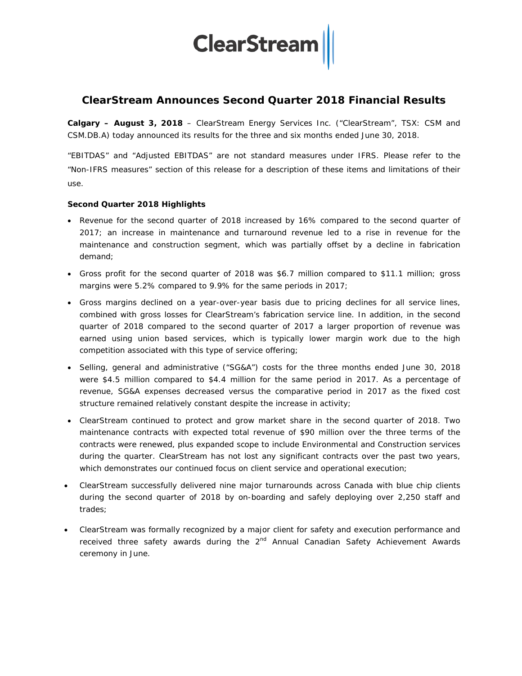

## **ClearStream Announces Second Quarter 2018 Financial Results**

**Calgary – August 3, 2018** – ClearStream Energy Services Inc. ("ClearStream", TSX: CSM and CSM.DB.A) today announced its results for the three and six months ended June 30, 2018.

"EBITDAS" and "Adjusted EBITDAS" are not standard measures under IFRS. Please refer to the "Non-IFRS measures" section of this release for a description of these items and limitations of their use.

#### **Second Quarter 2018 Highlights**

- Revenue for the second quarter of 2018 increased by 16% compared to the second quarter of 2017; an increase in maintenance and turnaround revenue led to a rise in revenue for the maintenance and construction segment, which was partially offset by a decline in fabrication demand;
- Gross profit for the second quarter of 2018 was \$6.7 million compared to \$11.1 million; gross margins were 5.2% compared to 9.9% for the same periods in 2017;
- Gross margins declined on a year-over-year basis due to pricing declines for all service lines, combined with gross losses for ClearStream's fabrication service line. In addition, in the second quarter of 2018 compared to the second quarter of 2017 a larger proportion of revenue was earned using union based services, which is typically lower margin work due to the high competition associated with this type of service offering;
- Selling, general and administrative ("SG&A") costs for the three months ended June 30, 2018 were \$4.5 million compared to \$4.4 million for the same period in 2017. As a percentage of revenue, SG&A expenses decreased versus the comparative period in 2017 as the fixed cost structure remained relatively constant despite the increase in activity;
- ClearStream continued to protect and grow market share in the second quarter of 2018. Two maintenance contracts with expected total revenue of \$90 million over the three terms of the contracts were renewed, plus expanded scope to include Environmental and Construction services during the quarter. ClearStream has not lost any significant contracts over the past two years, which demonstrates our continued focus on client service and operational execution;
- ClearStream successfully delivered nine major turnarounds across Canada with blue chip clients during the second quarter of 2018 by on-boarding and safely deploying over 2,250 staff and trades;
- ClearStream was formally recognized by a major client for safety and execution performance and received three safety awards during the 2<sup>nd</sup> Annual Canadian Safety Achievement Awards ceremony in June.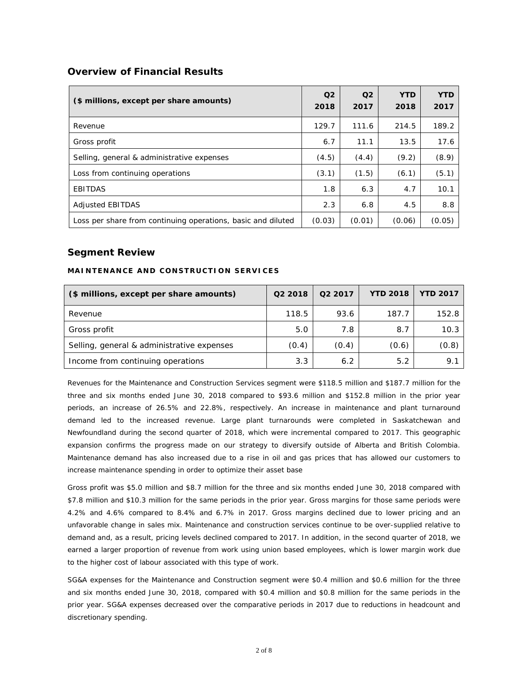### **Overview of Financial Results**

| (\$ millions, except per share amounts)                      | Q <sub>2</sub><br>2018 | Q <sub>2</sub><br>2017 | <b>YTD</b><br>2018 | <b>YTD</b><br>2017 |
|--------------------------------------------------------------|------------------------|------------------------|--------------------|--------------------|
| Revenue                                                      | 129.7                  | 111.6                  | 214.5              | 189.2              |
| Gross profit                                                 | 6.7                    | 11.1                   | 13.5               | 17.6               |
| Selling, general & administrative expenses                   | (4.5)                  | (4.4)                  | (9.2)              | (8.9)              |
| Loss from continuing operations                              | (3.1)                  | (1.5)                  | (6.1)              | (5.1)              |
| <b>EBITDAS</b>                                               | 1.8                    | 6.3                    | 4.7                | 10.1               |
| <b>Adjusted EBITDAS</b>                                      | 2.3                    | 6.8                    | 4.5                | 8.8                |
| Loss per share from continuing operations, basic and diluted | (0.03)                 | (0.01)                 | (0.06)             | (0.05)             |

#### **Segment Review**

#### **MAINTENANCE AND CONSTRUCTION SERVICES**

| (\$ millions, except per share amounts)    | Q2 2018 | Q <sub>2</sub> 2017 | <b>YTD 2018</b> | <b>YTD 2017</b> |
|--------------------------------------------|---------|---------------------|-----------------|-----------------|
| Revenue                                    | 118.5   | 93.6                | 187.7           | 152.8           |
| Gross profit                               | 5.0     | 7.8                 | 8.7             | 10.3            |
| Selling, general & administrative expenses | (0.4)   | (0.4)               | (0.6)           | (0.8)           |
| Income from continuing operations          | 3.3     | 6.2                 | 5.2             | 9.1             |

Revenues for the Maintenance and Construction Services segment were \$118.5 million and \$187.7 million for the three and six months ended June 30, 2018 compared to \$93.6 million and \$152.8 million in the prior year periods, an increase of 26.5% and 22.8%, respectively. An increase in maintenance and plant turnaround demand led to the increased revenue. Large plant turnarounds were completed in Saskatchewan and Newfoundland during the second quarter of 2018, which were incremental compared to 2017. This geographic expansion confirms the progress made on our strategy to diversify outside of Alberta and British Colombia. Maintenance demand has also increased due to a rise in oil and gas prices that has allowed our customers to increase maintenance spending in order to optimize their asset base

Gross profit was \$5.0 million and \$8.7 million for the three and six months ended June 30, 2018 compared with \$7.8 million and \$10.3 million for the same periods in the prior year. Gross margins for those same periods were 4.2% and 4.6% compared to 8.4% and 6.7% in 2017. Gross margins declined due to lower pricing and an unfavorable change in sales mix. Maintenance and construction services continue to be over-supplied relative to demand and, as a result, pricing levels declined compared to 2017. In addition, in the second quarter of 2018, we earned a larger proportion of revenue from work using union based employees, which is lower margin work due to the higher cost of labour associated with this type of work.

SG&A expenses for the Maintenance and Construction segment were \$0.4 million and \$0.6 million for the three and six months ended June 30, 2018, compared with \$0.4 million and \$0.8 million for the same periods in the prior year. SG&A expenses decreased over the comparative periods in 2017 due to reductions in headcount and discretionary spending.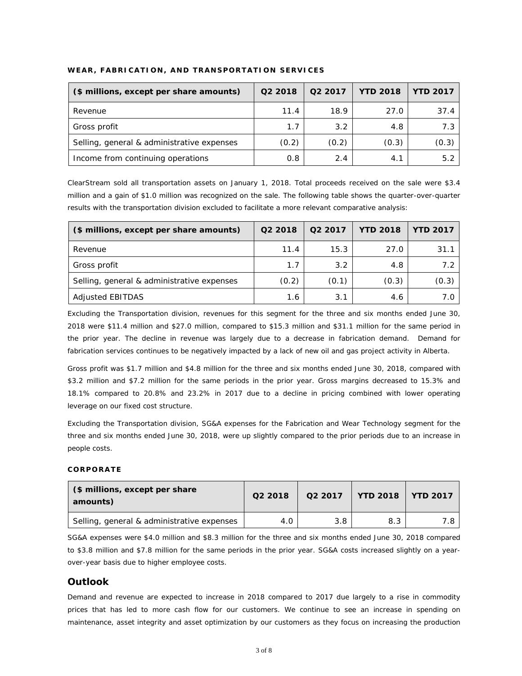| (\$ millions, except per share amounts)    | Q2 2018 | Q <sub>2</sub> 2017 | <b>YTD 2018</b> | <b>YTD 2017</b> |
|--------------------------------------------|---------|---------------------|-----------------|-----------------|
| Revenue                                    | 11.4    | 18.9                | 27.0            | 37.4            |
| Gross profit                               | 1.7     | 3.2                 | 4.8             | 7.3             |
| Selling, general & administrative expenses | (0.2)   | (0.2)               | (0.3)           | (0.3)           |
| Income from continuing operations          | 0.8     | 2.4                 | 4.1             | 5.2             |

#### **WEAR, FABRICATION, AND TRANSPORTATION SERVICES**

ClearStream sold all transportation assets on January 1, 2018. Total proceeds received on the sale were \$3.4 million and a gain of \$1.0 million was recognized on the sale. The following table shows the quarter-over-quarter results with the transportation division excluded to facilitate a more relevant comparative analysis:

| (\$ millions, except per share amounts)    | Q <sub>2</sub> 2018 | Q2 2017 | <b>YTD 2018</b> | <b>YTD 2017</b> |
|--------------------------------------------|---------------------|---------|-----------------|-----------------|
| Revenue                                    | 11.4                | 15.3    | 27.0            | 31.1            |
| Gross profit                               | 1.7                 | 3.2     | 4.8             | 7.2             |
| Selling, general & administrative expenses | (0.2)               | (0.1)   | (0.3)           | (0.3)           |
| Adjusted EBITDAS                           | 1.6                 | 3.1     | 4.6             | 7.0             |

Excluding the Transportation division, revenues for this segment for the three and six months ended June 30, 2018 were \$11.4 million and \$27.0 million, compared to \$15.3 million and \$31.1 million for the same period in the prior year. The decline in revenue was largely due to a decrease in fabrication demand. Demand for fabrication services continues to be negatively impacted by a lack of new oil and gas project activity in Alberta.

Gross profit was \$1.7 million and \$4.8 million for the three and six months ended June 30, 2018, compared with \$3.2 million and \$7.2 million for the same periods in the prior year. Gross margins decreased to 15.3% and 18.1% compared to 20.8% and 23.2% in 2017 due to a decline in pricing combined with lower operating leverage on our fixed cost structure.

Excluding the Transportation division, SG&A expenses for the Fabrication and Wear Technology segment for the three and six months ended June 30, 2018, were up slightly compared to the prior periods due to an increase in people costs.

#### **CORPORATE**

| (\$ millions, except per share)<br>amounts) | Q <sub>2</sub> 2018 | Q <sub>2</sub> 2017 | $\overline{ }$ YTD 2018 | <b>YTD 2017</b> |
|---------------------------------------------|---------------------|---------------------|-------------------------|-----------------|
| Selling, general & administrative expenses  | 4.0                 | 3.8                 | 8.3                     | 7.8             |

SG&A expenses were \$4.0 million and \$8.3 million for the three and six months ended June 30, 2018 compared to \$3.8 million and \$7.8 million for the same periods in the prior year. SG&A costs increased slightly on a yearover-year basis due to higher employee costs.

### **Outlook**

Demand and revenue are expected to increase in 2018 compared to 2017 due largely to a rise in commodity prices that has led to more cash flow for our customers. We continue to see an increase in spending on maintenance, asset integrity and asset optimization by our customers as they focus on increasing the production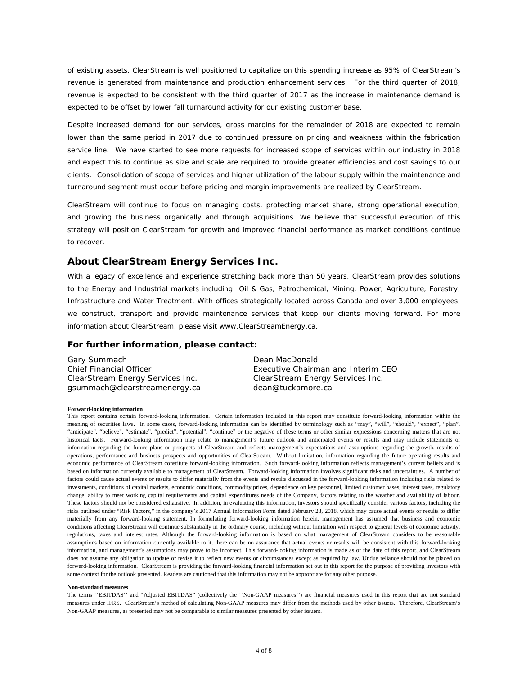of existing assets. ClearStream is well positioned to capitalize on this spending increase as 95% of ClearStream's revenue is generated from maintenance and production enhancement services. For the third quarter of 2018, revenue is expected to be consistent with the third quarter of 2017 as the increase in maintenance demand is expected to be offset by lower fall turnaround activity for our existing customer base.

Despite increased demand for our services, gross margins for the remainder of 2018 are expected to remain lower than the same period in 2017 due to continued pressure on pricing and weakness within the fabrication service line. We have started to see more requests for increased scope of services within our industry in 2018 and expect this to continue as size and scale are required to provide greater efficiencies and cost savings to our clients. Consolidation of scope of services and higher utilization of the labour supply within the maintenance and turnaround segment must occur before pricing and margin improvements are realized by ClearStream.

ClearStream will continue to focus on managing costs, protecting market share, strong operational execution, and growing the business organically and through acquisitions. We believe that successful execution of this strategy will position ClearStream for growth and improved financial performance as market conditions continue to recover.

#### **About ClearStream Energy Services Inc.**

With a legacy of excellence and experience stretching back more than 50 years, ClearStream provides solutions to the Energy and Industrial markets including: Oil & Gas, Petrochemical, Mining, Power, Agriculture, Forestry, Infrastructure and Water Treatment. With offices strategically located across Canada and over 3,000 employees, we construct, transport and provide maintenance services that keep our clients moving forward. For more information about ClearStream, please visit [www.ClearStreamEnergy.ca.](http://www.clearstreamenergy.ca/)

#### **For further information, please contact:**

| Gary Summach                     | Dean MacDonald                     |
|----------------------------------|------------------------------------|
| Chief Financial Officer          | Executive Chairman and Interim CEO |
| ClearStream Energy Services Inc. | ClearStream Energy Services Inc.   |
| gsummach@clearstreamenergy.ca    | dean@tuckamore.ca                  |

#### **Forward-looking information**

This report contains certain forward-looking information. Certain information included in this report may constitute forward-looking information within the meaning of securities laws. In some cases, forward-looking information can be identified by terminology such as "may", "will", "should", "expect", "plan", "anticipate", "believe", "estimate", "predict", "potential", "continue" or the negative of these terms or other similar expressions concerning matters that are not historical facts. Forward-looking information may relate to management's future outlook and anticipated events or results and may include statements or information regarding the future plans or prospects of ClearStream and reflects management's expectations and assumptions regarding the growth, results of operations, performance and business prospects and opportunities of ClearStream. Without limitation, information regarding the future operating results and economic performance of ClearStream constitute forward-looking information. Such forward-looking information reflects management's current beliefs and is based on information currently available to management of ClearStream. Forward-looking information involves significant risks and uncertainties. A number of factors could cause actual events or results to differ materially from the events and results discussed in the forward-looking information including risks related to investments, conditions of capital markets, economic conditions, commodity prices, dependence on key personnel, limited customer bases, interest rates, regulatory change, ability to meet working capital requirements and capital expenditures needs of the Company, factors relating to the weather and availability of labour. These factors should not be considered exhaustive. In addition, in evaluating this information, investors should specifically consider various factors, including the risks outlined under "Risk Factors," in the company's 2017 Annual Information Form dated February 28, 2018, which may cause actual events or results to differ materially from any forward-looking statement. In formulating forward-looking information herein, management has assumed that business and economic conditions affecting ClearStream will continue substantially in the ordinary course, including without limitation with respect to general levels of economic activity, regulations, taxes and interest rates. Although the forward-looking information is based on what management of ClearStream considers to be reasonable assumptions based on information currently available to it, there can be no assurance that actual events or results will be consistent with this forward-looking information, and management's assumptions may prove to be incorrect. This forward-looking information is made as of the date of this report, and ClearStream does not assume any obligation to update or revise it to reflect new events or circumstances except as required by law. Undue reliance should not be placed on forward-looking information. ClearStream is providing the forward-looking financial information set out in this report for the purpose of providing investors with some context for the outlook presented. Readers are cautioned that this information may not be appropriate for any other purpose.

#### **Non-standard measures**

The terms ''EBITDAS'' and "Adjusted EBITDAS" (collectively the ''Non-GAAP measures'') are financial measures used in this report that are not standard measures under IFRS. ClearStream's method of calculating Non-GAAP measures may differ from the methods used by other issuers. Therefore, ClearStream's Non-GAAP measures, as presented may not be comparable to similar measures presented by other issuers.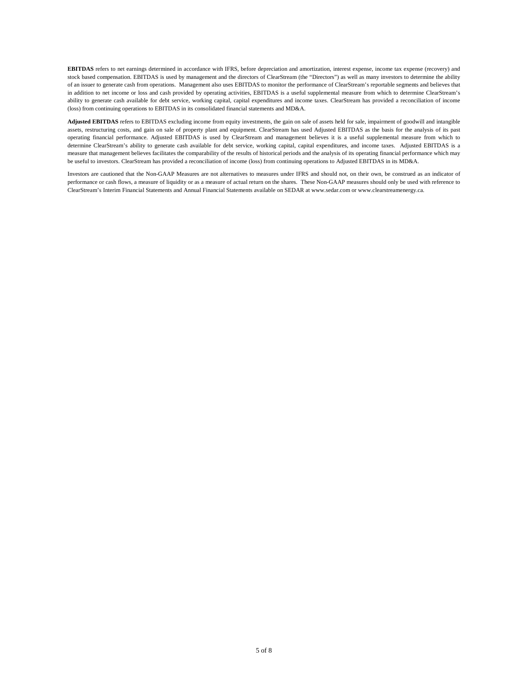**EBITDAS** refers to net earnings determined in accordance with IFRS, before depreciation and amortization, interest expense, income tax expense (recovery) and stock based compensation. EBITDAS is used by management and the directors of ClearStream (the "Directors") as well as many investors to determine the ability of an issuer to generate cash from operations. Management also uses EBITDAS to monitor the performance of ClearStream's reportable segments and believes that in addition to net income or loss and cash provided by operating activities, EBITDAS is a useful supplemental measure from which to determine ClearStream's ability to generate cash available for debt service, working capital, capital expenditures and income taxes. ClearStream has provided a reconciliation of income (loss) from continuing operations to EBITDAS in its consolidated financial statements and MD&A.

**Adjusted EBITDAS** refers to EBITDAS excluding income from equity investments, the gain on sale of assets held for sale, impairment of goodwill and intangible assets, restructuring costs, and gain on sale of property plant and equipment. ClearStream has used Adjusted EBITDAS as the basis for the analysis of its past operating financial performance. Adjusted EBITDAS is used by ClearStream and management believes it is a useful supplemental measure from which to determine ClearStream's ability to generate cash available for debt service, working capital, capital expenditures, and income taxes. Adjusted EBITDAS is a measure that management believes facilitates the comparability of the results of historical periods and the analysis of its operating financial performance which may be useful to investors. ClearStream has provided a reconciliation of income (loss) from continuing operations to Adjusted EBITDAS in its MD&A.

Investors are cautioned that the Non-GAAP Measures are not alternatives to measures under IFRS and should not, on their own, be construed as an indicator of performance or cash flows, a measure of liquidity or as a measure of actual return on the shares. These Non-GAAP measures should only be used with reference to ClearStream's Interim Financial Statements and Annual Financial Statements available on SEDAR a[t www.sedar.com](http://www.sedar.com/) or www.clearstreamenergy.ca.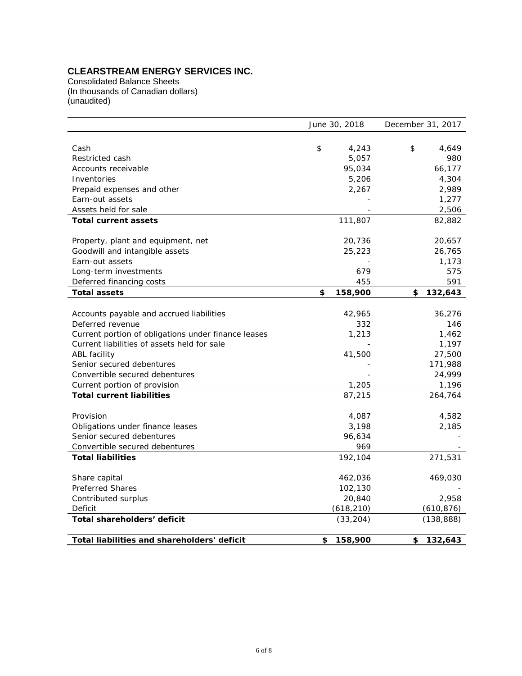## **CLEARSTREAM ENERGY SERVICES INC.**

Consolidated Balance Sheets (In thousands of Canadian dollars) (unaudited)

|                                                     | June 30, 2018 | December 31, 2017 |  |  |
|-----------------------------------------------------|---------------|-------------------|--|--|
|                                                     |               |                   |  |  |
| Cash                                                | \$<br>4,243   | \$<br>4,649       |  |  |
| Restricted cash                                     | 5,057         | 980               |  |  |
| Accounts receivable                                 | 95,034        | 66,177            |  |  |
| Inventories                                         | 5,206         | 4,304             |  |  |
| Prepaid expenses and other                          | 2,267         | 2,989             |  |  |
| Earn-out assets                                     |               | 1,277             |  |  |
| Assets held for sale                                |               | 2,506             |  |  |
| <b>Total current assets</b>                         | 111,807       | 82,882            |  |  |
|                                                     |               |                   |  |  |
| Property, plant and equipment, net                  | 20,736        | 20,657            |  |  |
| Goodwill and intangible assets                      | 25,223        | 26,765            |  |  |
| Earn-out assets                                     |               | 1,173             |  |  |
| Long-term investments                               | 679           | 575               |  |  |
| Deferred financing costs                            | 455           | 591               |  |  |
| <b>Total assets</b>                                 | \$<br>158,900 | 132,643<br>\$     |  |  |
|                                                     |               |                   |  |  |
| Accounts payable and accrued liabilities            | 42,965        | 36,276            |  |  |
| Deferred revenue                                    | 332           | 146               |  |  |
| Current portion of obligations under finance leases | 1,213         | 1,462             |  |  |
| Current liabilities of assets held for sale         |               | 1,197             |  |  |
| ABL facility                                        | 41,500        | 27,500            |  |  |
| Senior secured debentures                           |               | 171,988           |  |  |
| Convertible secured debentures                      |               | 24,999            |  |  |
| Current portion of provision                        | 1,205         | 1,196             |  |  |
| <b>Total current liabilities</b>                    | 87,215        | 264,764           |  |  |
|                                                     |               |                   |  |  |
| Provision                                           | 4,087         | 4,582             |  |  |
| Obligations under finance leases                    | 3,198         | 2,185             |  |  |
| Senior secured debentures                           | 96,634        |                   |  |  |
| Convertible secured debentures                      | 969           |                   |  |  |
| <b>Total liabilities</b>                            | 192,104       | 271,531           |  |  |
|                                                     |               |                   |  |  |
| Share capital                                       | 462,036       | 469,030           |  |  |
| <b>Preferred Shares</b>                             | 102,130       |                   |  |  |
| Contributed surplus                                 | 20,840        | 2,958             |  |  |
| Deficit                                             | (618, 210)    | (610, 876)        |  |  |
| Total shareholders' deficit                         | (33, 204)     | (138, 888)        |  |  |
| <b>Total liabilities and shareholders' deficit</b>  | 158,900       | 132,643<br>\$     |  |  |
|                                                     | \$            |                   |  |  |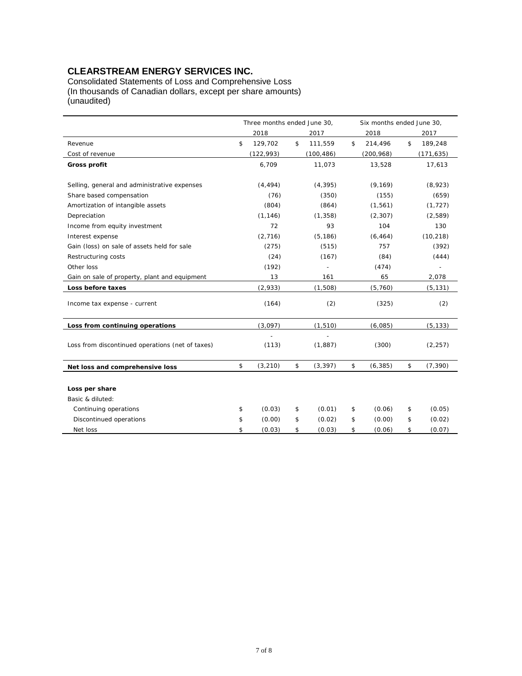## **CLEARSTREAM ENERGY SERVICES INC.**

Consolidated Statements of Loss and Comprehensive Loss (In thousands of Canadian dollars, except per share amounts) (unaudited)

|                                                  | Three months ended June 30,<br>Six months ended June 30, |            |    |            |                |    |            |
|--------------------------------------------------|----------------------------------------------------------|------------|----|------------|----------------|----|------------|
|                                                  |                                                          | 2018       |    | 2017       | 2018           |    | 2017       |
| Revenue                                          | \$                                                       | 129,702    | \$ | 111,559    | \$<br>214,496  | \$ | 189,248    |
| Cost of revenue                                  |                                                          | (122, 993) |    | (100, 486) | (200, 968)     |    | (171, 635) |
| Gross profit                                     |                                                          | 6,709      |    | 11,073     | 13,528         |    | 17,613     |
|                                                  |                                                          |            |    |            |                |    |            |
| Selling, general and administrative expenses     |                                                          | (4, 494)   |    | (4, 395)   | (9, 169)       |    | (8,923)    |
| Share based compensation                         |                                                          | (76)       |    | (350)      | (155)          |    | (659)      |
| Amortization of intangible assets                |                                                          | (804)      |    | (864)      | (1, 561)       |    | (1, 727)   |
| Depreciation                                     |                                                          | (1, 146)   |    | (1, 358)   | (2, 307)       |    | (2,589)    |
| Income from equity investment                    |                                                          | 72         |    | 93         | 104            |    | 130        |
| Interest expense                                 |                                                          | (2,716)    |    | (5, 186)   | (6, 464)       |    | (10, 218)  |
| Gain (loss) on sale of assets held for sale      |                                                          | (275)      |    | (515)      | 757            |    | (392)      |
| Restructuring costs                              |                                                          | (24)       |    | (167)      | (84)           |    | (444)      |
| Other loss                                       |                                                          | (192)      |    |            | (474)          |    |            |
| Gain on sale of property, plant and equipment    |                                                          | 13         |    | 161        | 65             |    | 2,078      |
| Loss before taxes                                |                                                          | (2,933)    |    | (1,508)    | (5,760)        |    | (5, 131)   |
| Income tax expense - current                     |                                                          | (164)      |    | (2)        | (325)          |    | (2)        |
| Loss from continuing operations                  |                                                          | (3,097)    |    | (1, 510)   | (6,085)        |    | (5, 133)   |
| Loss from discontinued operations (net of taxes) |                                                          | (113)      |    | (1,887)    | (300)          |    | (2, 257)   |
| Net loss and comprehensive loss                  | \$                                                       | (3, 210)   | \$ | (3, 397)   | \$<br>(6, 385) | \$ | (7, 390)   |
|                                                  |                                                          |            |    |            |                |    |            |
| Loss per share                                   |                                                          |            |    |            |                |    |            |
| Basic & diluted:                                 |                                                          |            |    |            |                |    |            |
| Continuing operations                            | \$                                                       | (0.03)     | \$ | (0.01)     | \$<br>(0.06)   | \$ | (0.05)     |
| Discontinued operations                          | \$                                                       | (0.00)     | \$ | (0.02)     | \$<br>(0.00)   | \$ | (0.02)     |
| Net loss                                         | \$                                                       | (0.03)     | \$ | (0.03)     | \$<br>(0.06)   | \$ | (0.07)     |